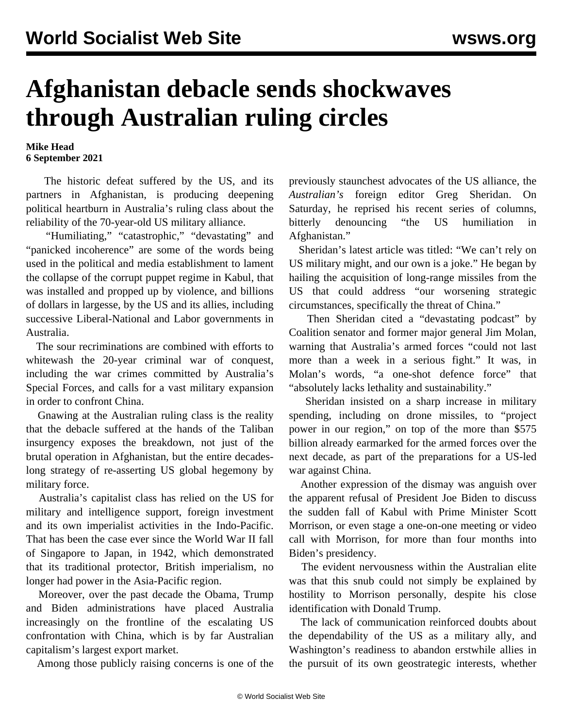## **Afghanistan debacle sends shockwaves through Australian ruling circles**

## **Mike Head 6 September 2021**

 The historic defeat suffered by the US, and its partners in Afghanistan, is producing deepening political heartburn in Australia's ruling class about the reliability of the 70-year-old US military alliance.

 "Humiliating," "catastrophic," "devastating" and "panicked incoherence" are some of the words being used in the political and media establishment to lament the collapse of the corrupt puppet regime in Kabul, that was installed and propped up by violence, and billions of dollars in largesse, by the US and its allies, including successive Liberal-National and Labor governments in Australia.

 The sour recriminations are combined with efforts to whitewash the 20-year criminal war of conquest, including the [war crimes](/en/articles/2020/12/02/wars-d02.html) committed by Australia's Special Forces, and calls for a vast military expansion in order to confront China.

 Gnawing at the Australian ruling class is the reality that the debacle suffered at the hands of the Taliban insurgency exposes the breakdown, not just of the brutal operation in Afghanistan, but the entire decadeslong strategy of re-asserting US global hegemony by military force.

 Australia's capitalist class has relied on the US for military and intelligence support, foreign investment and its own imperialist activities in the Indo-Pacific. That has been the case ever since the World War II fall of Singapore to Japan, in 1942, which demonstrated that its traditional protector, British imperialism, no longer had power in the Asia-Pacific region.

 Moreover, over the past decade the Obama, Trump and Biden administrations have placed Australia increasingly on the frontline of the escalating US confrontation with China, which is by far Australian capitalism's largest export market.

Among those publicly raising concerns is one of the

previously staunchest advocates of the US alliance, the *Australian's* foreign editor Greg Sheridan. On Saturday, he reprised his recent series of columns, bitterly denouncing "the US humiliation in Afghanistan."

 Sheridan's latest article was titled: "We can't rely on US military might, and our own is a joke." He began by hailing the acquisition of long-range missiles from the US that could address "our worsening strategic circumstances, specifically the threat of China."

 Then Sheridan cited a "devastating podcast" by Coalition senator and former major general Jim Molan, warning that Australia's armed forces "could not last more than a week in a serious fight." It was, in Molan's words, "a one-shot defence force" that "absolutely lacks lethality and sustainability."

 Sheridan insisted on a sharp increase in military spending, including on drone missiles, to "project power in our region," on top of the more than \$575 billion already [earmarked](/en/articles/2021/05/15/warb-m15.html) for the armed forces over the next decade, as part of the preparations for a US-led war against China.

 Another expression of the dismay was anguish over the apparent refusal of President Joe Biden to discuss the sudden fall of Kabul with Prime Minister Scott Morrison, or even stage a one-on-one meeting or video call with Morrison, for more than four months into Biden's presidency.

 The evident nervousness within the Australian elite was that this snub could not simply be explained by hostility to Morrison personally, despite his close identification with Donald Trump.

 The lack of communication reinforced doubts about the dependability of the US as a military ally, and Washington's readiness to abandon erstwhile allies in the pursuit of its own geostrategic interests, whether